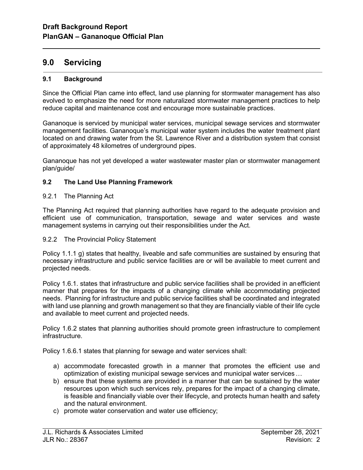# 9.0 Servicing

l

### 9.1 Background

Since the Official Plan came into effect, land use planning for stormwater management has also evolved to emphasize the need for more naturalized stormwater management practices to help reduce capital and maintenance cost and encourage more sustainable practices.

Gananoque is serviced by municipal water services, municipal sewage services and stormwater management facilities. Gananoque's municipal water system includes the water treatment plant located on and drawing water from the St. Lawrence River and a distribution system that consist of approximately 48 kilometres of underground pipes.

Gananoque has not yet developed a water wastewater master plan or stormwater management plan/guide/

## 9.2 The Land Use Planning Framework

#### 9.2.1 The Planning Act

The Planning Act required that planning authorities have regard to the adequate provision and efficient use of communication, transportation, sewage and water services and waste management systems in carrying out their responsibilities under the Act.

#### 9.2.2 The Provincial Policy Statement

Policy 1.1.1 g) states that healthy, liveable and safe communities are sustained by ensuring that necessary infrastructure and public service facilities are or will be available to meet current and projected needs.

Policy 1.6.1. states that infrastructure and public service facilities shall be provided in an efficient manner that prepares for the impacts of a changing climate while accommodating projected needs. Planning for infrastructure and public service facilities shall be coordinated and integrated with land use planning and growth management so that they are financially viable of their life cycle and available to meet current and projected needs.

Policy 1.6.2 states that planning authorities should promote green infrastructure to complement infrastructure.

Policy 1.6.6.1 states that planning for sewage and water services shall:

- a) accommodate forecasted growth in a manner that promotes the efficient use and optimization of existing municipal sewage services and municipal water services …
- b) ensure that these systems are provided in a manner that can be sustained by the water resources upon which such services rely, prepares for the impact of a changing climate, is feasible and financially viable over their lifecycle, and protects human health and safety and the natural environment.
- c) promote water conservation and water use efficiency;